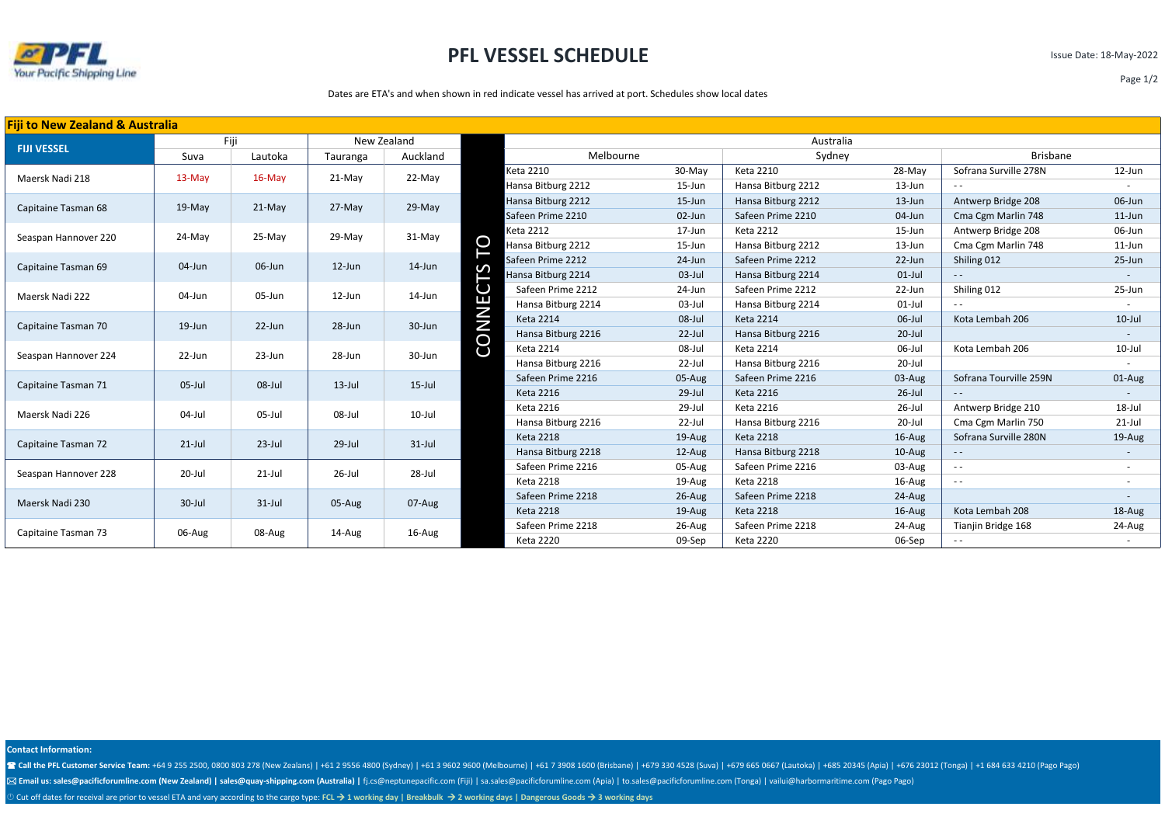

## **PFL VESSEL SCHEDULE**

Issue Date: 18-May-2022

Page 1/2

#### Dates are ETA's and when shown in red indicate vessel has arrived at port. Schedules show local dates

| <b>Fiji to New Zealand &amp; Australia</b> |           |            |             |           |              |                    |           |                    |           |                        |                          |  |
|--------------------------------------------|-----------|------------|-------------|-----------|--------------|--------------------|-----------|--------------------|-----------|------------------------|--------------------------|--|
| <b>FIJI VESSEL</b>                         | Fiji      |            | New Zealand |           |              | Australia          |           |                    |           |                        |                          |  |
|                                            | Suva      | Lautoka    | Tauranga    | Auckland  |              | Melbourne          |           | Sydney             |           | <b>Brisbane</b>        |                          |  |
| Maersk Nadi 218                            | 13-May    | 16-May     | 21-May      | 22-May    |              | <b>Keta 2210</b>   | 30-May    | <b>Keta 2210</b>   | 28-May    | Sofrana Surville 278N  | $12$ -Jun                |  |
|                                            |           |            |             |           |              | Hansa Bitburg 2212 | 15-Jun    | Hansa Bitburg 2212 | 13-Jun    |                        |                          |  |
| Capitaine Tasman 68                        | 19-May    | $21-May$   | 27-May      | 29-May    |              | Hansa Bitburg 2212 | 15-Jun    | Hansa Bitburg 2212 | $13$ -Jun | Antwerp Bridge 208     | 06-Jun                   |  |
|                                            |           |            |             |           |              | Safeen Prime 2210  | $02$ -Jun | Safeen Prime 2210  | 04-Jun    | Cma Cgm Marlin 748     | $11$ -Jun                |  |
| Seaspan Hannover 220                       | 24-May    | 25-May     | 29-May      | 31-May    |              | Keta 2212          | 17-Jun    | <b>Keta 2212</b>   | 15-Jun    | Antwerp Bridge 208     | 06-Jun                   |  |
|                                            |           |            |             |           | O            | Hansa Bitburg 2212 | 15-Jun    | Hansa Bitburg 2212 | 13-Jun    | Cma Cgm Marlin 748     | $11$ -Jun                |  |
| Capitaine Tasman 69                        | 04-Jun    | 06-Jun     | $12$ -Jun   | $14$ -Jun |              | Safeen Prime 2212  | 24-Jun    | Safeen Prime 2212  | 22-Jun    | Shiling 012            | 25-Jun                   |  |
|                                            |           |            |             |           |              | Hansa Bitburg 2214 | $03$ -Jul | Hansa Bitburg 2214 | $01$ -Jul | $\sim$                 |                          |  |
| Maersk Nadi 222                            | 04-Jun    | 05-Jun     | $12$ -Jun   | 14-Jun    | $\cup$       | Safeen Prime 2212  | 24-Jun    | Safeen Prime 2212  | 22-Jun    | Shiling 012            | 25-Jun                   |  |
|                                            |           |            |             |           | Е            | Hansa Bitburg 2214 | 03-Jul    | Hansa Bitburg 2214 | $01$ -Jul | $\frac{1}{2}$          |                          |  |
| Capitaine Tasman 70                        | 19-Jun    | $22$ -Jun  | 28-Jun      | 30-Jun    | <b>CONNI</b> | <b>Keta 2214</b>   | 08-Jul    | <b>Keta 2214</b>   | 06-Jul    | Kota Lembah 206        | $10$ -Jul                |  |
|                                            |           |            |             |           |              | Hansa Bitburg 2216 | $22$ -Jul | Hansa Bitburg 2216 | $20$ -Jul |                        |                          |  |
| Seaspan Hannover 224                       | 22-Jun    | $23 - Jun$ | 28-Jun      | 30-Jun    |              | <b>Keta 2214</b>   | 08-Jul    | <b>Keta 2214</b>   | 06-Jul    | Kota Lembah 206        | $10$ -Jul                |  |
|                                            |           |            |             |           |              | Hansa Bitburg 2216 | 22-Jul    | Hansa Bitburg 2216 | 20-Jul    |                        |                          |  |
| Capitaine Tasman 71                        | 05-Jul    | 08-Jul     | $13$ -Jul   | $15$ -Jul |              | Safeen Prime 2216  | 05-Aug    | Safeen Prime 2216  | 03-Aug    | Sofrana Tourville 259N | 01-Aug                   |  |
|                                            |           |            |             |           |              | <b>Keta 2216</b>   | $29$ -Jul | <b>Keta 2216</b>   | $26$ -Jul | $ -$                   |                          |  |
| Maersk Nadi 226                            | 04-Jul    | 05-Jul     | 08-Jul      | 10-Jul    |              | Keta 2216          | 29-Jul    | <b>Keta 2216</b>   | 26-Jul    | Antwerp Bridge 210     | 18-Jul                   |  |
|                                            |           |            |             |           |              | Hansa Bitburg 2216 | 22-Jul    | Hansa Bitburg 2216 | 20-Jul    | Cma Cgm Marlin 750     | $21$ -Jul                |  |
| Capitaine Tasman 72                        | $21$ -Jul | $23$ -Jul  | 29-Jul      | $31$ -Jul |              | <b>Keta 2218</b>   | 19-Aug    | <b>Keta 2218</b>   | $16$ -Aug | Sofrana Surville 280N  | 19-Aug                   |  |
|                                            |           |            |             |           |              | Hansa Bitburg 2218 | $12$ -Aug | Hansa Bitburg 2218 | $10-Au$ g | $\sim$ $-$             |                          |  |
| Seaspan Hannover 228                       | 20-Jul    | $21$ -Jul  | 26-Jul      | 28-Jul    |              | Safeen Prime 2216  | 05-Aug    | Safeen Prime 2216  | 03-Aug    | $ -$                   | $\overline{\phantom{a}}$ |  |
|                                            |           |            |             |           |              | <b>Keta 2218</b>   | 19-Aug    | <b>Keta 2218</b>   | 16-Aug    | $\sim$ $\sim$          |                          |  |
| Maersk Nadi 230                            | 30-Jul    | $31$ -Jul  | 05-Aug      | 07-Aug    |              | Safeen Prime 2218  | $26$ -Aug | Safeen Prime 2218  | 24-Aug    |                        |                          |  |
|                                            |           |            |             |           |              | <b>Keta 2218</b>   | 19-Aug    | <b>Keta 2218</b>   | 16-Aug    | Kota Lembah 208        | 18-Aug                   |  |
| Capitaine Tasman 73                        | 06-Aug    | 08-Aug     | 14-Aug      | 16-Aug    |              | Safeen Prime 2218  | 26-Aug    | Safeen Prime 2218  | 24-Aug    | Tianjin Bridge 168     | 24-Aug                   |  |
|                                            |           |            |             |           |              | <b>Keta 2220</b>   | 09-Sep    | <b>Keta 2220</b>   | 06-Sep    | $- -$                  |                          |  |

**Contact Information:**

T Call the PFL Customer Service Team: +64 9 255 2500, 0800 803 278 (New Zealans) | +61 2 9556 4800 (Sydney) | +61 3 9602 9600 (Melbourne) | +61 7 3908 1600 (Brisbane) | +679 330 4528 (Suva) | +679 665 0667 (Lautoka) | +685

⊠ Email us: sales@pacificforumline.com (New Zealand) | sales@quay-shipping.com (Australia) | fj.cs@neptunepacific.com (Fiji) | sa.sales@pacificforumline.com (Apia) | to.sales@pacificforumline.com (Tonga) | vailui@harborma

Cut off dates for receival are prior to vessel ETA and vary according to the cargo type: **FCL** → **1 working day | Breakbulk** → **2 working days | Dangerous Goods** → **3 working days**